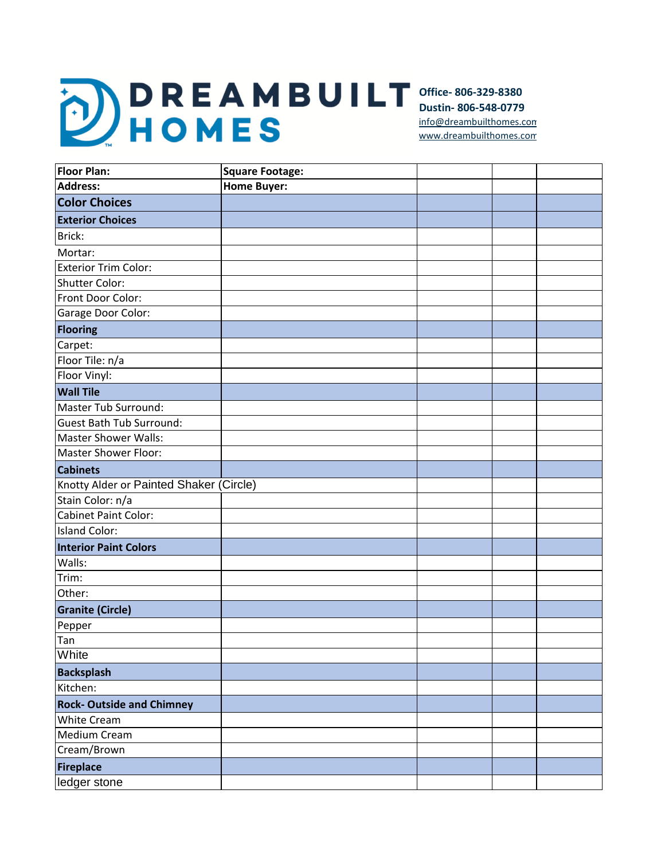**Office- 806-329-8380 Dustin- 806-548-0779** [info@dreambuilth](mailto:info@dreambuilthomes.com)omes.com [www.dreambuilth](http://www.dreambuilthomes.com/)omes.com

| <b>Floor Plan:</b>                      | <b>Square Footage:</b> |  |  |
|-----------------------------------------|------------------------|--|--|
| <b>Address:</b>                         | <b>Home Buyer:</b>     |  |  |
| <b>Color Choices</b>                    |                        |  |  |
| <b>Exterior Choices</b>                 |                        |  |  |
| Brick:                                  |                        |  |  |
| Mortar:                                 |                        |  |  |
| <b>Exterior Trim Color:</b>             |                        |  |  |
| <b>Shutter Color:</b>                   |                        |  |  |
| Front Door Color:                       |                        |  |  |
| Garage Door Color:                      |                        |  |  |
| <b>Flooring</b>                         |                        |  |  |
| Carpet:                                 |                        |  |  |
| Floor Tile: n/a                         |                        |  |  |
| Floor Vinyl:                            |                        |  |  |
| <b>Wall Tile</b>                        |                        |  |  |
| Master Tub Surround:                    |                        |  |  |
| <b>Guest Bath Tub Surround:</b>         |                        |  |  |
| <b>Master Shower Walls:</b>             |                        |  |  |
| <b>Master Shower Floor:</b>             |                        |  |  |
| <b>Cabinets</b>                         |                        |  |  |
| Knotty Alder or Painted Shaker (Circle) |                        |  |  |
| Stain Color: n/a                        |                        |  |  |
| <b>Cabinet Paint Color:</b>             |                        |  |  |
| <b>Island Color:</b>                    |                        |  |  |
| <b>Interior Paint Colors</b>            |                        |  |  |
| Walls:                                  |                        |  |  |
| Trim:                                   |                        |  |  |
| Other:                                  |                        |  |  |
| <b>Granite (Circle)</b>                 |                        |  |  |
| Pepper                                  |                        |  |  |
| Tan                                     |                        |  |  |
| White                                   |                        |  |  |
| <b>Backsplash</b>                       |                        |  |  |
| Kitchen:                                |                        |  |  |
| <b>Rock-Outside and Chimney</b>         |                        |  |  |
| White Cream                             |                        |  |  |
| Medium Cream                            |                        |  |  |
| Cream/Brown                             |                        |  |  |
| <b>Fireplace</b>                        |                        |  |  |
| ledger stone                            |                        |  |  |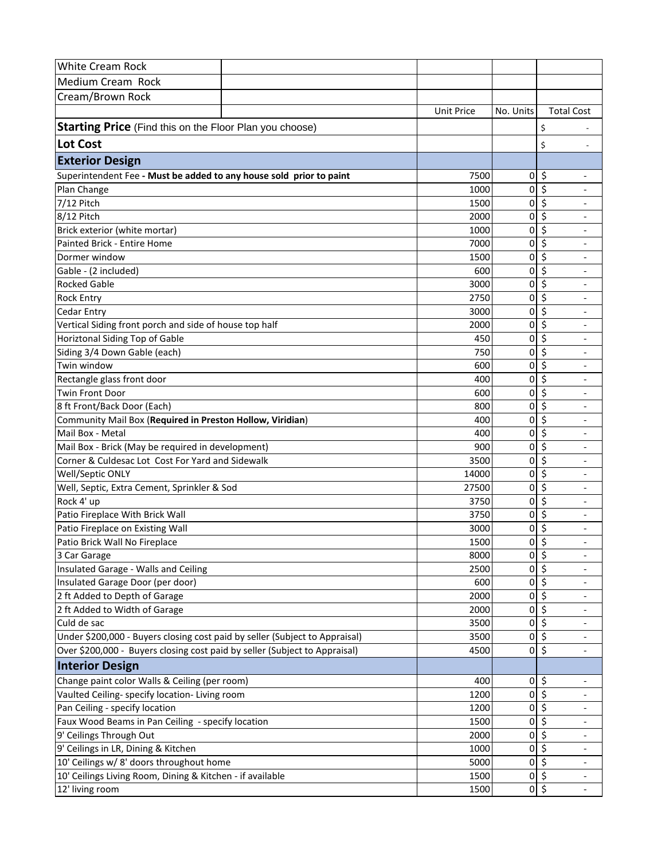| White Cream Rock                                                            |                   |                |                                                          |
|-----------------------------------------------------------------------------|-------------------|----------------|----------------------------------------------------------|
| Medium Cream Rock                                                           |                   |                |                                                          |
| Cream/Brown Rock                                                            |                   |                |                                                          |
|                                                                             | <b>Unit Price</b> | No. Units      | <b>Total Cost</b>                                        |
|                                                                             |                   |                |                                                          |
| <b>Starting Price</b> (Find this on the Floor Plan you choose)              |                   |                | \$                                                       |
| <b>Lot Cost</b>                                                             |                   |                | \$                                                       |
| <b>Exterior Design</b>                                                      |                   |                |                                                          |
| Superintendent Fee - Must be added to any house sold prior to paint         | 7500              | $\overline{0}$ | \$                                                       |
| Plan Change                                                                 | 1000              | 0              | \$                                                       |
| 7/12 Pitch                                                                  | 1500              | 0              | \$                                                       |
| 8/12 Pitch                                                                  | 2000              | 0              | \$                                                       |
| Brick exterior (white mortar)                                               | 1000              | 0              | \$                                                       |
| Painted Brick - Entire Home                                                 | 7000              | 0              | \$<br>$\overline{\phantom{a}}$                           |
| Dormer window                                                               | 1500              | 0              | \$<br>$\overline{\phantom{a}}$                           |
| Gable - (2 included)                                                        | 600               | 0              | \$<br>$\overline{\phantom{a}}$                           |
| <b>Rocked Gable</b>                                                         | 3000              | 0              | \$                                                       |
| <b>Rock Entry</b>                                                           | 2750              | 0              | \$                                                       |
| <b>Cedar Entry</b>                                                          | 3000              | 0              | \$                                                       |
| Vertical Siding front porch and side of house top half                      | 2000              | 0              | \$                                                       |
| Horiztonal Siding Top of Gable                                              | 450               | 0              | \$                                                       |
| Siding 3/4 Down Gable (each)                                                | 750               | 0              | \$                                                       |
| Twin window                                                                 | 600               | 0              | \$                                                       |
| Rectangle glass front door                                                  | 400               | 0              | \$                                                       |
| <b>Twin Front Door</b>                                                      | 600               | 0              | \$                                                       |
| 8 ft Front/Back Door (Each)                                                 | 800               | 0              | \$                                                       |
| Community Mail Box (Required in Preston Hollow, Viridian)                   | 400               | 0              | \$<br>$\overline{\phantom{a}}$                           |
| Mail Box - Metal                                                            | 400               | 0              | \$<br>$\overline{\phantom{a}}$                           |
| Mail Box - Brick (May be required in development)                           | 900               | 0              | \$<br>$\overline{\phantom{a}}$                           |
| Corner & Culdesac Lot Cost For Yard and Sidewalk                            | 3500              | 0              | \$                                                       |
| Well/Septic ONLY                                                            | 14000             | 0              | \$                                                       |
| Well, Septic, Extra Cement, Sprinkler & Sod                                 | 27500             | 0              | \$                                                       |
| Rock 4' up                                                                  | 3750              | 0              | \$                                                       |
| Patio Fireplace With Brick Wall                                             | 3750              | 0              | \$<br>$\overline{a}$                                     |
| Patio Fireplace on Existing Wall                                            | 3000              | 0              | \$                                                       |
| Patio Brick Wall No Fireplace                                               | 1500              | 0              | \$                                                       |
| 3 Car Garage                                                                | 8000              | 0              | $\overline{\mathcal{S}}$<br>$\qquad \qquad \blacksquare$ |
| Insulated Garage - Walls and Ceiling                                        | 2500              | 0              | \$<br>$\overline{\phantom{a}}$                           |
| Insulated Garage Door (per door)                                            | 600               | 0              | \$<br>$\overline{\phantom{a}}$                           |
| 2 ft Added to Depth of Garage                                               | 2000              | 0              | \$<br>$\overline{\phantom{a}}$                           |
| 2 ft Added to Width of Garage                                               | 2000              | 0              | \$<br>$\overline{\phantom{a}}$                           |
| Culd de sac                                                                 | 3500              | 0              | \$                                                       |
| Under \$200,000 - Buyers closing cost paid by seller (Subject to Appraisal) | 3500              |                | $\frac{1}{2}$<br>$\overline{\phantom{a}}$                |
| Over \$200,000 - Buyers closing cost paid by seller (Subject to Appraisal)  | 4500              |                | $0\sqrt{2}$<br>$\overline{\phantom{a}}$                  |
| <b>Interior Design</b>                                                      |                   |                |                                                          |
| Change paint color Walls & Ceiling (per room)                               | 400               |                | $0\vert\;$ \$<br>$\overline{\phantom{a}}$                |
| Vaulted Ceiling- specify location- Living room                              | 1200              | 0              | \$<br>$\overline{\phantom{a}}$                           |
| Pan Ceiling - specify location                                              | 1200              | 0              | \$                                                       |
| Faux Wood Beams in Pan Ceiling - specify location                           | 1500              | 0              | $\overline{\mathcal{S}}$                                 |
| 9' Ceilings Through Out                                                     | 2000              | 0              | \$                                                       |
| 9' Ceilings in LR, Dining & Kitchen                                         | 1000              | 0              | \$<br>$\overline{\phantom{a}}$                           |
| 10' Ceilings w/ 8' doors throughout home                                    | 5000              |                | $0\overline{\phantom{0}}$ \$<br>$\overline{\phantom{a}}$ |
| 10' Ceilings Living Room, Dining & Kitchen - if available                   | 1500              |                | $0$ \$<br>$\overline{a}$                                 |
| 12' living room                                                             | 1500              |                | $0\overline{\phantom{a}}$<br>$\overline{a}$              |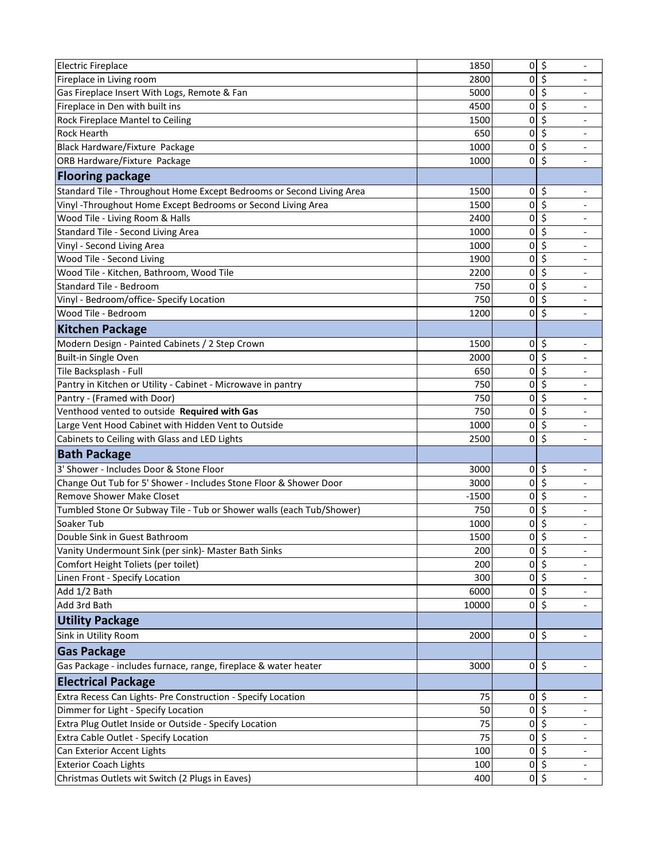| <b>Electric Fireplace</b>                                             | 1850    | $\Omega$                     | \$                                      |
|-----------------------------------------------------------------------|---------|------------------------------|-----------------------------------------|
| Fireplace in Living room                                              | 2800    | 0                            | \$                                      |
| Gas Fireplace Insert With Logs, Remote & Fan                          | 5000    | 0                            | \$                                      |
| Fireplace in Den with built ins                                       | 4500    | 0                            | \$<br>$\overline{\phantom{a}}$          |
| Rock Fireplace Mantel to Ceiling                                      | 1500    | 0                            | \$<br>$\overline{\phantom{a}}$          |
| <b>Rock Hearth</b>                                                    | 650     | 0                            | \$<br>$\overline{\phantom{a}}$          |
| Black Hardware/Fixture Package                                        | 1000    | 0                            | \$                                      |
| ORB Hardware/Fixture Package                                          | 1000    | 0                            | \$                                      |
| <b>Flooring package</b>                                               |         |                              |                                         |
| Standard Tile - Throughout Home Except Bedrooms or Second Living Area | 1500    | 0                            | \$<br>$\overline{\phantom{a}}$          |
| Vinyl - Throughout Home Except Bedrooms or Second Living Area         | 1500    | 0                            | \$<br>$\overline{\phantom{a}}$          |
| Wood Tile - Living Room & Halls                                       | 2400    | 0                            | \$<br>$\overline{\phantom{a}}$          |
| Standard Tile - Second Living Area                                    | 1000    | 0                            | \$                                      |
| Vinyl - Second Living Area                                            | 1000    | 0                            | \$                                      |
| Wood Tile - Second Living                                             | 1900    | 0                            | \$                                      |
| Wood Tile - Kitchen, Bathroom, Wood Tile                              | 2200    | 0                            | \$                                      |
| Standard Tile - Bedroom                                               | 750     | 0                            | $\overline{\mathsf{S}}$                 |
| Vinyl - Bedroom/office- Specify Location                              | 750     | 0                            | \$                                      |
| Wood Tile - Bedroom                                                   | 1200    | 0                            | \$                                      |
| <b>Kitchen Package</b>                                                |         |                              |                                         |
| Modern Design - Painted Cabinets / 2 Step Crown                       | 1500    | 0                            | \$                                      |
| <b>Built-in Single Oven</b>                                           | 2000    | 0                            | \$                                      |
| Tile Backsplash - Full                                                | 650     | 0                            | $\overline{\mathsf{S}}$                 |
| Pantry in Kitchen or Utility - Cabinet - Microwave in pantry          | 750     | 0                            | \$                                      |
| Pantry - (Framed with Door)                                           | 750     | 0                            | \$                                      |
| Venthood vented to outside Required with Gas                          | 750     | 0                            | \$                                      |
| Large Vent Hood Cabinet with Hidden Vent to Outside                   | 1000    | 0                            | \$<br>$\overline{\phantom{a}}$          |
| Cabinets to Ceiling with Glass and LED Lights                         | 2500    | 0                            | \$<br>$\overline{\phantom{a}}$          |
| <b>Bath Package</b>                                                   |         |                              |                                         |
| 3' Shower - Includes Door & Stone Floor                               | 3000    | 0                            | \$<br>$\overline{\phantom{a}}$          |
| Change Out Tub for 5' Shower - Includes Stone Floor & Shower Door     | 3000    | 0                            | \$                                      |
| <b>Remove Shower Make Closet</b>                                      | $-1500$ | 0                            | \$                                      |
| Tumbled Stone Or Subway Tile - Tub or Shower walls (each Tub/Shower)  | 750     | 0                            | \$                                      |
| Soaker Tub                                                            | 1000    | 0                            | \$<br>$\overline{\phantom{a}}$          |
| Double Sink in Guest Bathroom                                         | 1500    | 0                            | \$<br>$\overline{\phantom{a}}$          |
| Vanity Undermount Sink (per sink)- Master Bath Sinks                  | 200     | $0$ \$                       | $\overline{\phantom{m}}$                |
| Comfort Height Toliets (per toilet)                                   | 200     | $\overline{0}$               | $\overline{\mathcal{S}}$                |
| Linen Front - Specify Location                                        | 300     |                              | $0\vert$ \$<br>$\overline{\phantom{a}}$ |
| Add 1/2 Bath                                                          | 6000    |                              | $0\vert$ \$                             |
| Add 3rd Bath                                                          | 10000   | $\overline{0}$               | $\zeta$                                 |
| <b>Utility Package</b>                                                |         |                              |                                         |
| Sink in Utility Room                                                  | 2000    | $0\overline{\phantom{0}}$ \$ | $\overline{\phantom{a}}$                |
| <b>Gas Package</b>                                                    |         |                              |                                         |
| Gas Package - includes furnace, range, fireplace & water heater       | 3000    | $\overline{0}$               | \$<br>$\overline{\phantom{a}}$          |
| <b>Electrical Package</b>                                             |         |                              |                                         |
| Extra Recess Can Lights- Pre Construction - Specify Location          | 75      | $0\vert$ \$                  |                                         |
| Dimmer for Light - Specify Location                                   | 50      | 0                            | \$                                      |
| Extra Plug Outlet Inside or Outside - Specify Location                | 75      | 0                            | \$                                      |
| Extra Cable Outlet - Specify Location                                 | 75      | 0                            | \$                                      |
| Can Exterior Accent Lights                                            | 100     | 0                            | \$<br>$\overline{\phantom{a}}$          |
| <b>Exterior Coach Lights</b>                                          | 100     | 0                            | \$<br>$\overline{\phantom{a}}$          |
| Christmas Outlets wit Switch (2 Plugs in Eaves)                       | 400     |                              | $0\sqrt{2}$<br>$\overline{\phantom{a}}$ |